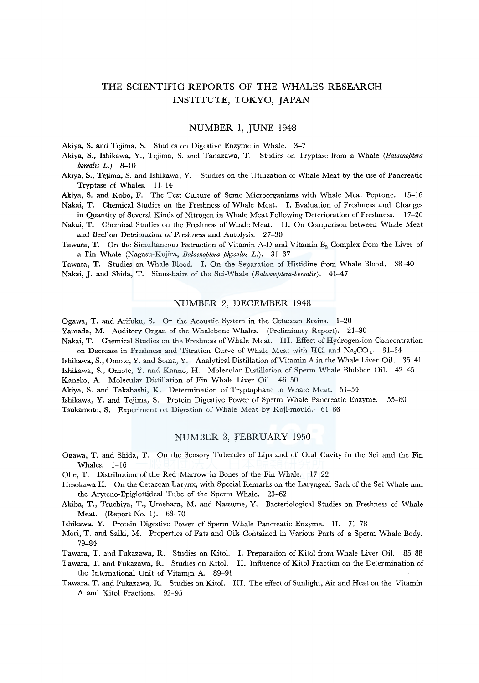# THE SCIENTIFIC REPORTS OF THE WHALES RESEARCH INSTITUTE, TOKYO, JAPAN

# NUMBER 1, JUNE 1948

Akiya, S. and Tejima, S. Studies on Digestive Enzyme in Whale. 3-7

Akiya, S., Ishikawa, Y., Tejima, S. and Tanazawa, T. Studies on Tryptase from a Whale *(Balaenoptera borealis L.)* 8-10

Akiya, S., Tejima, S. and Ishikawa, Y. Studies on the Utilization of Whale Meat by the use of Pancreatic Tryptase of Whales. 11-14

Akiya, S. and Kobo, F. The Test Culture of Some Microorganisms with Whale Meat Peptone. 15-16 Nakai, T. Chemical Studies on the Freshness of Whale Meat. I. Evaluation of Freshness and Changes

in Quantity of Several Kinds of Nitrogen in Whale Meat Following Deterioration of Freshness. 17-26

Nakai, T. Chemical Studies on the Freshness of Whale Meat. II. On Comparison between Whale Meat and Beef on Deteioration of Freshness and Autolysis. 27-30

Tawara, T. On the Simultaneous Extraction of Vitamin A-D and Vitamin  $B_2$  Complex from the Liver of a Fin Whale (Nagasu-Kujira, *Balaenoptera physalus L.).* 31-37

Tawara, T. Studies on Whale Blood. I. On the Separation of Histidine from Whale Blood. 38--40 Nakai, J. and Shida, T. Sinus-hairs of the Sei-Whale *(Balaenoptera-borealis)*. 41-47

## NUMBER 2, DECEMBER 1948

Ogawa, T. and Arifuku, S. On the Acoustic System in the Cetacean Brains. 1-20

Yamada, M. Auditory Organ of the Whalebone Whales. (Preliminary Report). 21-30

Nakai, T. Chemical Studies on the Freshness of Whale Meat. III. Effect of Hydrogen-ion Concentration on Decrease in Freshness and Titration Curve of Whale Meat with HCl and  $Na_2CO_3$ . 31-34

Ishikawa, S., Omote, Y. and Soma, Y. Analytical Distillation of Vitamin A in the Whale Liver Oil. 35-41 Ishikawa, S., Omote, Y. and Kanno, H. Molecular Distillation of Sperm Whale Blubber Oil. 42-45 Kaneko, A. Molecular Distillation of Fin Whale Liver Oil. 46-50

Akiya, S. and Takahashi, K. Determination of Tryptophane in Whale Meat. 51-54

Ishikawa, Y. and Tejima, S. Protein Digestive Power of Sperm Whale Pancreatic Enzyme. 55-60 Tsukamoto, S. Experiment on Digestion of Whale Meat by Koji-mould. 61-66

# NUMBER 3, FEBRUARY 1950

Ogawa, T. and Shida, T. On the Sensory Tubercles of Lips and of Oral Cavity in the Sei and the Fin Whales.  $1-16$ 

Ohe, T. Distribution of the Red Marrow in Bones of the Fin Whale. 17-22

Hosokawa H. On the Cetacean Larynx, with Special Remarks on the Laryngeal Sack of the Sei Whale and the Aryteno-Epiglottideal Tube of the Sperm Whale. 23-62

Akiba, T., Tsuchiya, T., Umehara, M. and Natsume, Y. Bacteriological Studies on Freshness of Whale Meat. (Report No. 1). 63-70

Ishikawa, Y. Protein Digestive Power of Sperm \i\l'hale Pancreatic Enzyme. II. 71-78

Mori, T. and Saiki, M. Properties of Fats and Oils Contained in Various Parts of a Sperm Whale Body. 79-84

Tawara, T. and Fukazawa, R. Studies on Kitol. I. Preparation of Kitol from Whale Liver Oil. 85-88

Tawara, T. and Fukazawa, R. Studies on Kitol. II. Influence of Kitol Fraction on the Determination of the International Unit of Vitamrn A. 89-91

Tawara, T. and Fukazawa, R. Studies on Kitol. III. The effect of Sunlight, Air and Heat on the Vitamin A and Kitol Fractions. 92-95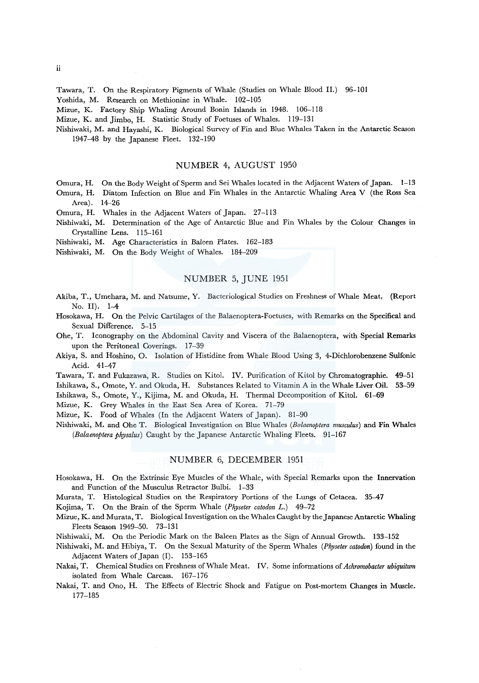Tawara, T. On the Respiratory Pigments of Whale (Studies on Whale Blood II.) 96-101

Yoshida, M. Research on Methionine in Whale. 102-105

Mizue, K. Factory Ship Whaling Around Bonin Islands in 1948. 106-118

Mizue, K. and Jimbo, H. Statistic Study of Foetuses of Whales. 119-131

Nishiwaki, M. and Hayashi, K. Biological Survey of Fin and Blue Whales Taken in the Antarctic Season 1947-48 by the Japanese Fleet. 132-190

#### NUMBER 4, AUGUST 1950

- Omura, H. On the Body Weight of Sperm and Sei Whales located in the Adjacent Waters of Japan. 1-13
- Omura, H. Diatom Infection on Blue and Fin Whales in the Antarctic Whaling Area V (the Ross Sea Area). 14-26

Omura, H. Whales in the Adjacent Waters of Japan. 27-113

- Nishiwaki, M. Determination of the Age of Antarctic Blue and Fin Whales by the Colour Changes in Crystalline Lens. 115-161
- Nishiwaki, M. Age Characteristics in Baleen Plates. 162-183

Nishiwaki, M. On the Body Weight of Whales. 184-209

## NUMBER 5, JUNE 1951

- Akiba, T., Umehara, M. and Natsume, Y. Bacteriological Studies on Freshness of Whale Meat, (Report No. II). 1-4
- Hosokawa, H. On the Pelvic Cartilages of the Balaenoptera-Foetuses, with Remarks on the Specifical and Sexual Difference. 5-15
- Ohe, T. Iconography on the Abdominal Cavity and Viscera of the Balaenoptera, with Special Remarks upon the Peritoneal Coverings. 17-39
- Akiya, S. and Hoshino, 0. Isolation of Histidine from Whale Blood Using 3, 4-Dichlorobenzene Sulfonic Acid. 41-47
- Tawara, T. and Fukazawa, R. Studies on Kitol. IV. Purification of Kitol by Chromatographie. 49-51 Ishikawa, S., Omote, Y. and Okuda, H. Substances Related to Vitamin A in the Whale Liver Oil. 53-59

Ishikawa, S., Omote, Y., Kijima, M. and Okuda, H. Thermal Decomposition of Kitol. 61-69

Mizue, K. Grey Whales in the East Sea Area of Korea. 71-79

Mizue, K. Food of Whales (In the Adjacent Waters of Japan). 81-90

Nishiwaki, M. and Ohe T. Biological Investigation on Blue Whales *(Bolaenoptera musculus)* and Fin Whales *(Balaenoptera physalus)* Caught by the Japanese Antarctic Whaling Fleets. 91-167

#### NUMBER 6, DECEMBER 1951

- Hosokawa, H. On the Extrinsic Eye Muscles of the Whale, with Special Remarks upon the Innervation and Function of the Musculus Retractor Bulbi. 1-33
- Murata, T. Histological Studies on the Respiratory Portions of the Lungs of Cetacea. 35-47

Kojima, T. On the Brain of the Sperm Whale *(Physeter catodon* L.) 49-72

Mizue, K. and Murata, T. Biological Investigation on the Whales Caught by theJ apanese Antarctic Whaling Fleets Season 1949-50. 73-131

Nishiwaki, M. On the Periodic Mark on the Baleen Plates as the Sign of Annual Growth. 133-152

Nishiwaki, M. and Hibiya, T. On the Sexual Maturity of the Sperm Whales *(Physeter catodon)* found in the Adjacent Waters of Japan (I). 153-165

- Nakai, T. Chemical Studies on Freshness of Whale Meat. IV. Some informations of *Achromobacter ubiquitum*  isolated from Whale Carcass. 167-176
- Nakai, T. and Ono, H. The Effects of Electric Shock and Fatigue on Post-mortem Changes in Muscle. 177-185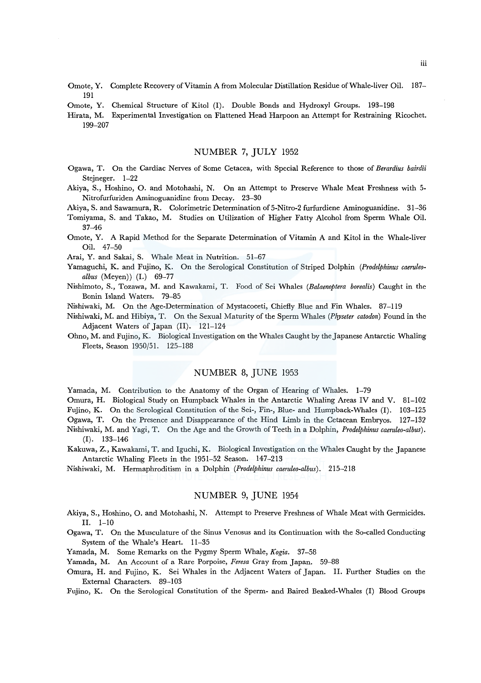- Omote, Y. Complete Recovery of Vitamin A from Molecular Distillation Residue of Whale-liver Oil. 187- 191
- Omote, Y. Chemical Structure of Kitol **(1).** Double Bonds and Hydroxyl Groups. 193-198
- Hirata, M. Experimental Investigation on Flattened Head Harpoon an Attempt for Restraining Ricochet. 199-207

# NUMBER 7, **JULY** 1952

- Ogawa, T. On the Cardiac Nerves of Some Cetacea, with Special Reference to those of *Berardius bairdii*  Stejneger. 1-22
- Akiya, S., Hoshino, 0. and Motohashi, N. On an Attempt to Preserve Whale Meat Freshness with 5- Nitrofurfuriden Aminoguanidine from Decay. 23-30
- Akiya, S. and Sawamura, **R.** Colorimetric Determination of 5-Nitro-2 furfurdiene Aminoguanidine. 31-36
- Tomiyama, S. and Takao, M. Studies on Utilization of Higher Fatty Alcohol from Sperm Whale Oil. 37-46
- Omote, Y. A Rapid Method for the Separate Determination of Vitamin A and Kitol in the Whale-liver Oil. 47-50

Arai, Y. and Sakai, S. Whale Meat in Nutrition. 51-67

- Yamaguchi, K. and Fujino, K. On the Serological Constitution of Striped Dolphin *(Prodelphinus caeruleoalbus* (Meyen)) (I.) 69-77
- Nishimoto, S., Tozawa, M. and Kawakami, T. Food of Sei Whales *(Balaenoptera borealis)* Caught in the Bonin Island Waters. 79-85
- Nishiwaki, M. On the Age-Determination of Mystacoceti, Chiefly Blue and Fin Whales. 87-119
- Nishiwaki, M. and Hibiya, T. On the Sexual Maturity of the Sperm Whales *(Physeter catodon)* Found in the Adjacent Waters of Japan (II). 121-124
- Ohno, M. and Fujino, K. Biological Investigation on the Whales Caught by the Japanese Antarctic Whaling Fleets, Season 1950/51. 125-188

# NUMBER 8, JUNE 1953

Yamada, M. Contribution to the Anatomy of the Organ of Hearing of Whales. 1-79

Omura, H. Biological Study on Humpback Whales in the Antarctic Whaling Areas IV and V. 81-102 Fujino, K. On the Serological Constitution of the Sei-, Fin-, Blue- and Humpback-Whales (I). 103-125 Ogawa, T. On the Presence and Disappearance of the Hind Limb in the Cetacean Embryos. 127-132 Nishiwaki, M. and Yagi, T. On the Age and the Growth of Teeth in a Dolphin, *Prodelphinus caeruleo-albus).*  (I). 133-146

- Kakuwa, Z., Kawakami, T. and lguchi, K. Biological Investigation on the Whales Caught by the Japanese Antarctic Whaling Fleets in the 1951-52 Season. 147-213
- Nishiwaki, M. Hermaphroditism in a Dolphin *(Prodelphinus caeruleo-albus).* 215-218

# NUMBER 9, JUNE 1954

- Akiya, S., Hoshino, O. and Motohashi, N. Attempt to Preserve Freshness of Whale Meat with Germicides. II. 1-10
- Ogawa, T. On the Musculature of the Sinus Venosus and its Continuation with the So-called Conducting System of the Whale's Heart. 11-35
- Yamada, M. Some Remarks on the Pygmy Sperm Whale, *Kogia.* 37-58
- Yamada, M. An Account of a Rare Porpoise, *Feresa* Gray from Japan. 59-88
- Omura, H. and Fujino, K. Sei Whales in the Adjacent Waters of Japan. II. Further Studies on the External Characters. 89-103
- Fujino, K. On the Serological Constitution of the Sperm- and Baired Beaked-Whales (I) Blood Groups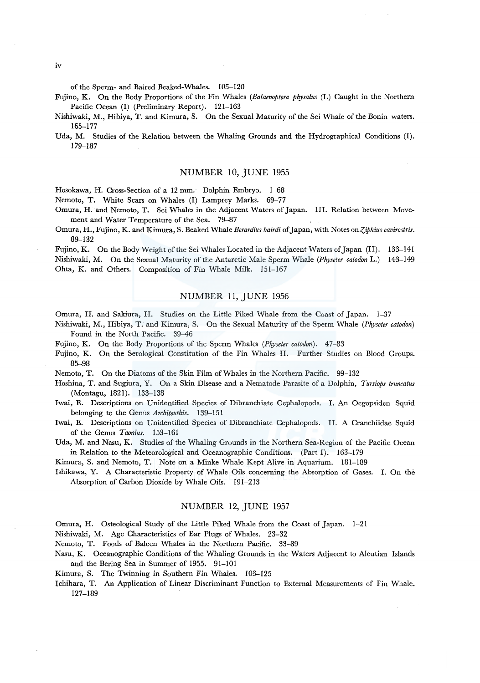of the Sperm- and Baired Beaked-Whales. 105-120

Fujino, K. On the Body Proportions of the Fin Whales *(Balaenoptera physalus* (L) Caught in the Northern Pacific Ocean (I) (Preliminary Report). 121-163

Nishiwaki, M., Hibiya, T. and Kimura, S. On the Sexual Maturity of the Sei Whale of the Bonin waters. 165-177

Uda, M. Studies of the Relation between the Whaling Grounds and the Hydrographical Conditions (I). 179-187

# NUMBER 10, JUNE 1955

Hosokawa, H. Cross-Section of a 12 mm. Dolphin Embryo. 1-68

Nemoto, T. White Scars on Whales (I) Lamprey Marks. 69-77

Omura, H. and Nemoto, T. Sei Whales in the Adjacent Waters of Japan. III. Relation between Movement and Water Temperature of the Sea. 79-87

Omura, H., Fujino, K. and Kimura, S. Beaked Whale *Berardius bairdi* of Japan, with Notes *onZ,iphius cavirostris.*  89-132

Fujino, K. On the Body Weight of the Sei Whales Located in the Adjacent Waters of Japan (11). 133-141 Nishiwaki, M. On the Sexual Maturity of the Antarctic Male Sperm Whale *(Physeter catodon* L.) 143-149 Ohta, K. and Others. Composition of Fin Whale Milk. 151-167

# NUMBER 11, JUNE 1956

Omura, H. and Sakiura, H. Studies on the Little Piked Whale from the Coast of Japan. 1-37

- Nishiwaki, M., Hibiya, T. and Kimura, S. On the Sexual Maturity of the Sperm Whale *(Physeter catodon)*  Found in the North Pacific. 39-46
- Fujino, K. On the Body Proportions of the Sperm Whales *(Physeter catodon).* 47-83
- Fujino, K. On the Serological Constitution of the Fin Whales II. Further Studies on Blood Groups. 85-98

Nemoto, T. On the Diatoms of the Skin Film of Whales in the Northern Pacific. 99-132

Hoshina, T. and Sugiura, Y. On a Skin Disease and a Nematode Parasite of a Dolphin, *Tursiops truncatus*  (Montagu, 1821). 133-138

Iwai, E. Descriptions on Unidentified Species of Dibranchiate Cephalopods. I. An Oegopsiden Squid belonging to the Genus *Architeuthis.* 139-151

Iwai, E. Descriptions on Unidentified Species of Dibranchiate Cephalopods. II. A Cranchiidae Squid of the Genus *Taonius.* 153-161

Uda, M. and Nasu, K. Studies of the Whaling Grounds in the Northern Sea-Region of the Pacific Ocean in Relation to the Meteorological and Oceanographic Conditions. (Part I). 163-179

Kimura, S. and Nemoto, T. Note on a Minke Whale Kept Alive in Aquarium. 181-189

Ishikawa, Y. A Characteristic Property of Whale Oils concerning the Absorption of Gases. I. On the Absorption of Carbon Dioxide by Whale Oils. 191-213

#### NUMBER 12, JUNE 1957

Omura, H. Osteological Study of the Little Piked Whale from the Coast of Japan. 1-21

Nishiwaki, M. Age Characteristics of Ear Plugs of Whales. 23-32

Nemoto, T. Foods of Baleen Whales in the Northern Pacific. 33-89

- Nasu, K. Oceanographic Conditions of the Whaling Grounds in the Waters Adjacent to Aleutian Islands and the Bering Sea in Summer of 1955. 91-101
- Kimura, S. The Twinning in Southern Fin Whales. 103-125
- Ichihara, T. An Application of Linear Discriminant Function to External Measurements of Fin Whale. 127-189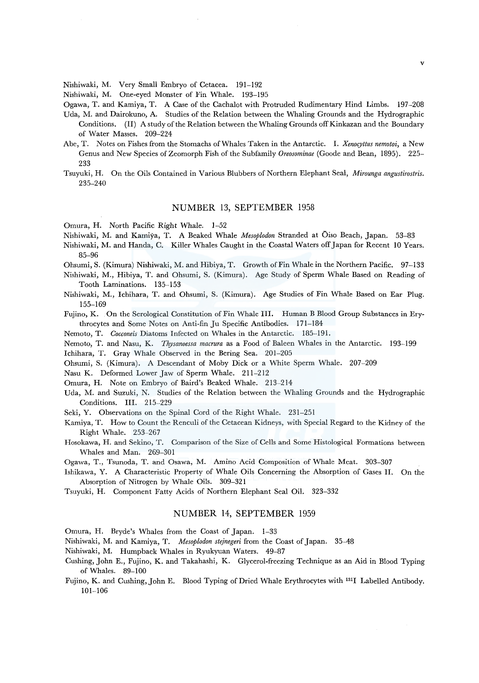Nishiwaki, M. Very Small Embryo of Cetacea. 191-192

Nishiwaki, M. One-eyed Monster of Fin Whale. 193-195

Ogawa, T. and Kamiya, T. A Case of the Cachalot with Protruded Rudimentary Hind Limbs. 197-208

- Uda, M. and Dairokuno, A. Studies of the Relation between the Whaling Grounds and the Hydrographic Conditions. (II) A study of the Relation between the \'\'haling Grounds offKinkazan and the Boundary of Water Masses. 209-224
- Abe, T. Notes on Fishes from the Stomachs of Whales Taken in the Antarctic. I. *Xenocyttus nemotoi*, a New Genus and New Species of Zeomorph Fish of the Subfamily *Oreosominae* (Goode and Bean, 1895). 225- 233
- Tsuyuki, H. On the Oils Contained in Various Blubbers of Northern Elephant Seal, *Mirounga angustirostris.*  235-240

## NUMBER 13, SEPTEMBER 1958

Omura, H. North Pacific Right Whale. 1-52

- Nishiwaki, M. and Kamiya, T. A Beaked Whale *Mesoplodon* Stranded at Oiso Beach, Japan. 53-83
- Nishiwaki, M. and Handa, C. Killer Whales Caught in the Coastal Waters off Japan for Recent 10 Years. 85-96
- Ohsumi, S. (Kimura) Nishiwaki, M. and Hibiya, T. Growth of Fin Whale in the Northern Pacific. 97-133
- Nishiwaki, M., Hibiya, T. and Ohsumi, S. (Kimura). Age Study of Sperm Whale Based on Reading of Tooth Laminations. 135-153
- Nishiwaki, M., lchihara, T. and Ohsumi, S. (Kimura). Age Studies of Fin Whale Based on Ear Plug. 155-169

Fujino, K. On the Serological Constitution of Fin Whale III. Human B Blood Group Substances in Erythrocytes and Some Notes on Anti-fin Ju Specific Antibodies. 171-184

Nemoto, T. *Cocconeis* Diatoms Infected on Whales in the Antarctic. 185-191.

Nemoto, T. and Nasu, K. *Thysanoessa macrura* as a Food of Baleen Vl'hales in the Antarctic. 193-199

lchihara, T. Gray Whale Observed in the Bering Sea. 201-205

Ohsumi, S. (Kimura). A Descendant of Moby Dick or a White Sperm Whale. 207-209

Nasu K. Deformed Lower Jaw of Sperm Whale. 211-212

Omura, H. Note on Embryo of Baird's Beaked Whale. 213-214

- Uda, M. and Suzuki, N. Studies of the Relation between the Whaling Grounds and the Hydrographic Conditions. III. 215-229
- Seki, Y. Observations on the Spinal Cord of the Right Whale. 231-251
- Kamiya, T. How to Count the Renculi of the Cetacean Kidneys, with Special Regard to the Kidney of the Right Whale. 253-267
- Hosokawa, H. and Sekino, T. Comparison of the Size of Cells and Some Histological Formations between Whales and Man. 269-301
- Ogawa, T., Tsunoda, T. and Osawa, M. Amino Acid Composition of Whale Meat. 303-307
- Ishikawa, Y. A Characteristic Property of Whale Oils Concerning the Absorption of Gases II. On the Absorption of Nitrogen by Whale Oils. 309-321
- Tsuyuki, H. Component Fatty Acids of Northern Elephant Seal Oil. 323-332

# NUMBER 14, SEPTEMBER 1959

- Omura, H. Bryde's \'\'hales from the Coast of Japan. 1-33
- Nishiwaki, M. and Kamiya, T. *Mesoplodon stejnegeri* from the Coast of Japan. 35-48
- Nishiwaki, M. Humpback Whales in Ryukyuan Waters. 49-87
- Cushing, John E., Fujino, K. and Takahashi, K. Glycerol-freezing Technique as an Aid in Blood Typing of Whales. 89-100
- Fujino, K. and Cushing, John E. Blood Typing of Dried Whale Erythrocytes with 1311 Labelled Antibody. 101-106